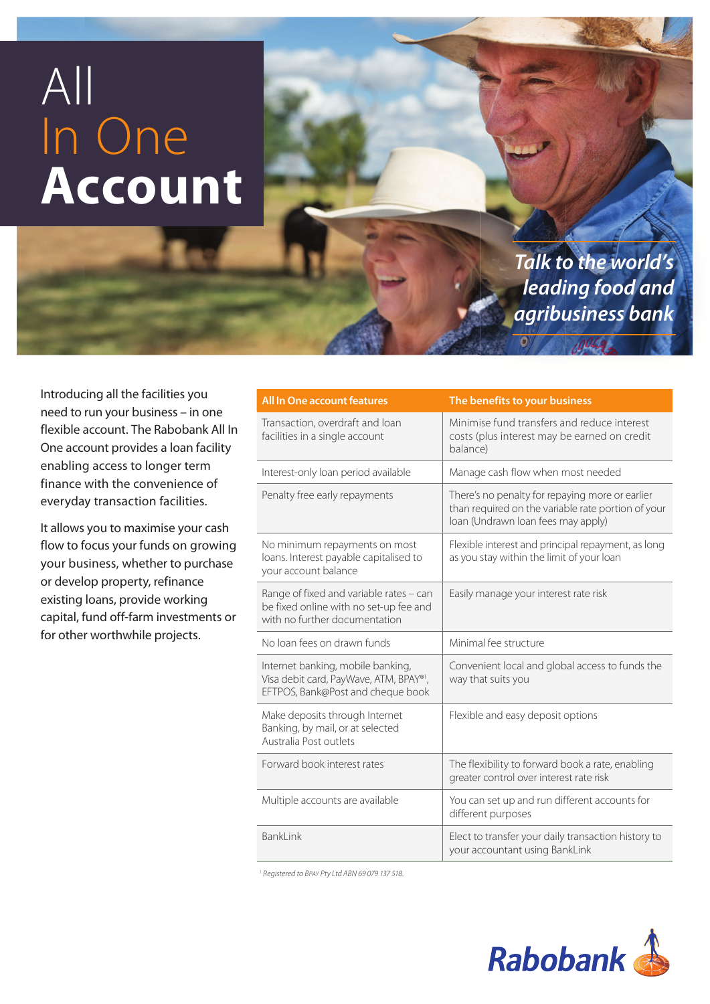# All In One **Account**

*Talk to the world's leading food and agribusiness bank*

Introducing all the facilities you need to run your business – in one flexible account. The Rabobank All In One account provides a loan facility enabling access to longer term finance with the convenience of everyday transaction facilities.

It allows you to maximise your cash flow to focus your funds on growing your business, whether to purchase or develop property, refinance existing loans, provide working capital, fund off-farm investments or for other worthwhile projects.

| <b>All In One account features</b>                                                                                 | The benefits to your business                                                                                                               |
|--------------------------------------------------------------------------------------------------------------------|---------------------------------------------------------------------------------------------------------------------------------------------|
| Transaction, overdraft and loan<br>facilities in a single account                                                  | Minimise fund transfers and reduce interest<br>costs (plus interest may be earned on credit<br>balance)                                     |
| Interest-only loan period available                                                                                | Manage cash flow when most needed                                                                                                           |
| Penalty free early repayments                                                                                      | There's no penalty for repaying more or earlier<br>than required on the variable rate portion of your<br>loan (Undrawn loan fees may apply) |
| No minimum repayments on most<br>loans. Interest payable capitalised to<br>your account balance                    | Flexible interest and principal repayment, as long<br>as you stay within the limit of your loan                                             |
| Range of fixed and variable rates - can<br>be fixed online with no set-up fee and<br>with no further documentation | Easily manage your interest rate risk                                                                                                       |
| No loan fees on drawn funds                                                                                        | Minimal fee structure                                                                                                                       |
| Internet banking, mobile banking,<br>Visa debit card, PayWave, ATM, BPAY®1,<br>EFTPOS, Bank@Post and cheque book   | Convenient local and global access to funds the<br>way that suits you                                                                       |
| Make deposits through Internet<br>Banking, by mail, or at selected<br>Australia Post outlets                       | Flexible and easy deposit options                                                                                                           |
| Forward book interest rates                                                                                        | The flexibility to forward book a rate, enabling<br>greater control over interest rate risk                                                 |
| Multiple accounts are available                                                                                    | You can set up and run different accounts for<br>different purposes                                                                         |
| <b>BankLink</b>                                                                                                    | Elect to transfer your daily transaction history to<br>your accountant using BankLink                                                       |

<sup>1.</sup> Registered to BPAY Pty Ltd ABN 69 079 137 518.